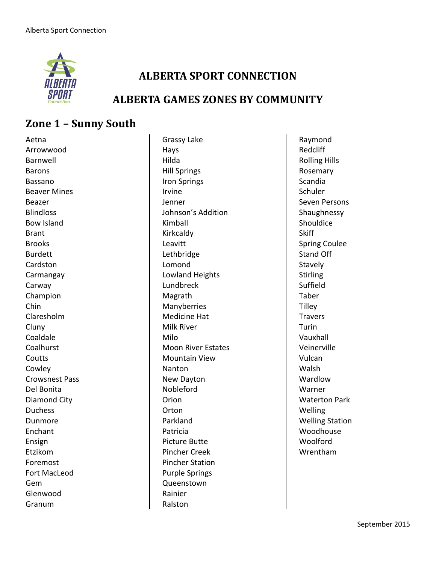

### **ALBERTA SPORT CONNECTION**

#### **ALBERTA GAMES ZONES BY COMMUNITY**

## **Zone 1 – Sunny South**

Aetna Arrowwood Barnwell Barons Bassano Beaver Mines Beazer **Blindloss** Bow Island Brant Brooks Burdett Cardston Carmangay Carway Champion Chin Claresholm **Cluny** Coaldale Coalhurst **Coutts** Cowley Crowsnest Pass Del Bonita Diamond City Duchess Dunmore Enchant Ensign Etzikom Foremost Fort MacLeod Gem Glenwood Granum

Grassy Lake Hays Hilda Hill Springs Iron Springs Irvine Jenner Johnson's Addition Kimball Kirkcaldy Leavitt Lethbridge Lomond Lowland Heights Lundbreck Magrath Manyberries Medicine Hat Milk River Milo Moon River Estates Mountain View Nanton New Dayton Nobleford **Orion Orton** Parkland Patricia Picture Butte Pincher Creek Pincher Station Purple Springs Queenstown Rainier Ralston

Raymond Redcliff Rolling Hills Rosemary Scandia Schuler Seven Persons Shaughnessy Shouldice **Skiff** Spring Coulee Stand Off Stavely Stirling Suffield Taber **Tilley** Travers Turin Vauxhall Veinerville Vulcan Walsh Wardlow Warner Waterton Park Welling Welling Station Woodhouse Woolford Wrentham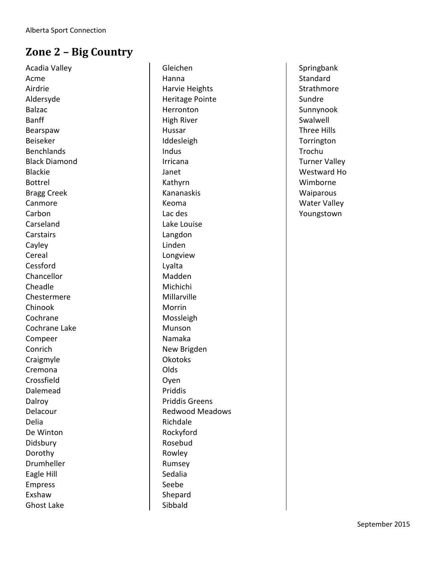# **Zone 2 – Big Country**

Acadia Valley Acme Airdrie Aldersyde Balzac Banff Bearspaw Beiseker Benchlands Black Diamond Blackie Bottrel Bragg Creek Canmore Carbon Carseland **Carstairs** Cayley Cereal Cessford Chancellor Cheadle Chestermere Chinook Cochrane Cochrane Lake Compeer Conrich Craigmyle Cremona Crossfield Dalemead Dalroy Delacour Delia De Winton Didsbury Dorothy Drumheller Eagle Hill Empress Exshaw Ghost Lake

Gleichen Hanna Harvie Heights Heritage Pointe Herronton High River Hussar Iddesleigh Indus Irricana Janet Kathyrn Kananaskis Keoma Lac des Lake Louise Langdon Linden Longview Lyalta Madden Michichi Millarville Morrin Mossleigh Munson Namaka New Brigden Okotoks Olds Oyen Priddis Priddis Greens Redwood Meadows Richdale Rockyford Rosebud Rowley Rumsey Sedalia Seebe Shepard Sibbald

Springbank Standard Strathmore Sundre Sunnynook Swalwell Three Hills **Torrington** Trochu Turner Valley Westward Ho Wimborne **Waiparous** Water Valley Youngstown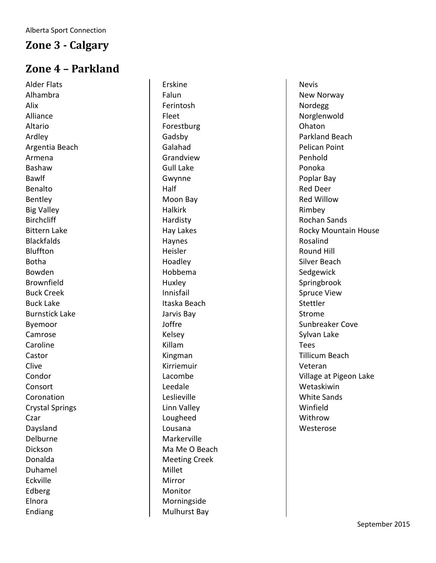#### **Zone 3 - Calgary**

### **Zone 4 – Parkland**

Alder Flats Alhambra Alix Alliance Altario Ardley Argentia Beach Armena Bashaw Bawlf Benalto Bentley Big Valley **Birchcliff** Bittern Lake **Blackfalds** Bluffton Botha Bowden Brownfield Buck Creek Buck Lake Burnstick Lake Byemoor Camrose Caroline Castor Clive Condor Consort Coronation Crystal Springs Czar Daysland Delburne Dickson Donalda Duhamel Eckville Edberg Elnora Endiang

Erskine Falun Ferintosh Fleet Forestburg Gadsby Galahad Grandview Gull Lake Gwynne Half Moon Bay Halkirk Hardisty Hay Lakes Haynes Heisler Hoadley Hobbema Huxley Innisfail Itaska Beach Jarvis Bay Joffre Kelsey Killam Kingman Kirriemuir Lacombe Leedale Leslieville Linn Valley Lougheed Lousana Markerville Ma Me O Beach Meeting Creek Millet Mirror **Monitor** Morningside Mulhurst Bay

Nevis New Norway Nordegg Norglenwold Ohaton Parkland Beach Pelican Point Penhold Ponoka Poplar Bay Red Deer Red Willow Rimbey Rochan Sands Rocky Mountain House Rosalind Round Hill Silver Beach Sedgewick Springbrook Spruce View **Stettler** Strome Sunbreaker Cove Sylvan Lake Tees Tillicum Beach Veteran Village at Pigeon Lake Wetaskiwin White Sands Winfield Withrow Westerose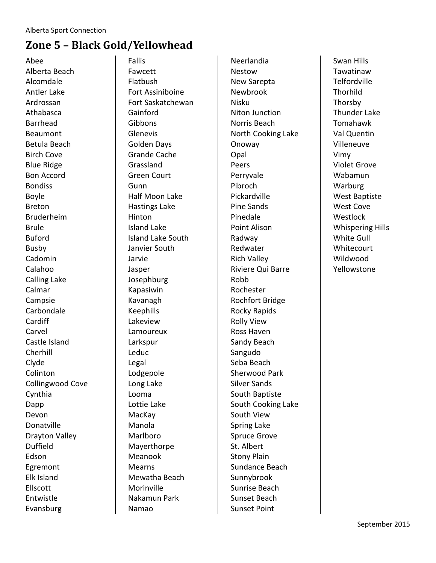## **Zone 5 – Black Gold/Yellowhead**

Abee Alberta Beach Alcomdale Antler Lake Ardrossan Athabasca Barrhead Beaumont Betula Beach Birch Cove Blue Ridge Bon Accord Bondiss Boyle Breton Bruderheim Brule Buford Busby Cadomin Calahoo Calling Lake Calmar Campsie Carbondale Cardiff Carvel Castle Island Cherhill Clyde Colinton Collingwood Cove Cynthia Dapp Devon Donatville Drayton Valley Duffield Edson Egremont Elk Island Ellscott Entwistle Evansburg

Fallis Fawcett Flatbush Fort Assiniboine Fort Saskatchewan Gainford Gibbons Glenevis Golden Days Grande Cache Grassland Green Court Gunn Half Moon Lake Hastings Lake Hinton Island Lake Island Lake South Janvier South Jarvie Jasper Josephburg Kapasiwin Kavanagh Keephills Lakeview Lamoureux Larkspur Leduc Legal Lodgepole Long Lake Looma Lottie Lake MacKay Manola Marlboro Mayerthorpe Meanook Mearns Mewatha Beach Morinville Nakamun Park Namao

Neerlandia Nestow New Sarepta Newbrook Nisku Niton Junction Norris Beach North Cooking Lake Onoway Opal Peers Perryvale Pibroch Pickardville Pine Sands Pinedale Point Alison Radway Redwater Rich Valley Riviere Qui Barre Robb Rochester Rochfort Bridge Rocky Rapids Rolly View Ross Haven Sandy Beach Sangudo Seba Beach Sherwood Park Silver Sands South Baptiste South Cooking Lake South View Spring Lake Spruce Grove St. Albert Stony Plain Sundance Beach Sunnybrook Sunrise Beach Sunset Beach Sunset Point

Swan Hills Tawatinaw Telfordville **Thorhild** Thorsby Thunder Lake Tomahawk Val Quentin Villeneuve Vimy Violet Grove Wabamun Warburg West Baptiste West Cove **Westlock** Whispering Hills White Gull **Whitecourt** Wildwood Yellowstone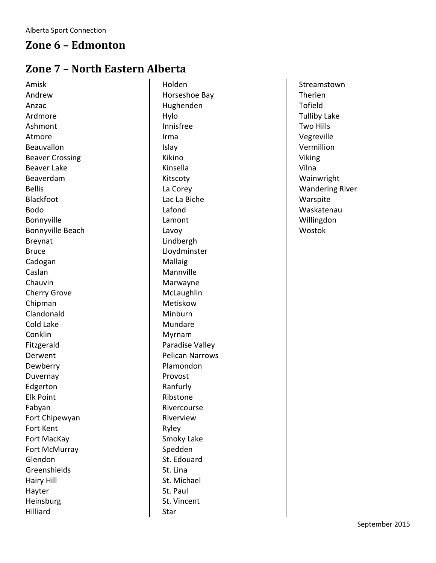### **Zone 6 – Edmonton**

# **Zone 7 – North Eastern Alberta**

Amisk Andrew Anzac Ardmore Ashmont Atmore Beauvallon Beaver Crossing Beaver Lake Beaverdam Bellis Blackfoot Bodo Bonnyville Bonnyville Beach Breynat Bruce Cadogan Caslan Chauvin Cherry Grove Chipman Clandonald Cold Lake Conklin Fitzgerald Derwent Dewberry Duvernay Edgerton Elk Point Fabyan Fort Chipewyan Fort Kent Fort MacKay Fort McMurray Glendon **Greenshields** Hairy Hill Hayter Heinsburg Hilliard

Holden Horseshoe Bay Hughenden Hylo Innisfree Irma Islay Kikino Kinsella Kitscoty La Corey Lac La Biche Lafond Lamont Lavoy Lindbergh Lloydminster Mallaig Mannville Marwayne **McLaughlin** Metiskow **Minburn** Mundare Myrnam Paradise Valley Pelican Narrows Plamondon Provost Ranfurly Ribstone Rivercourse Riverview Ryley Smoky Lake Spedden St. Edouard St. Lina St. Michael St. Paul St. Vincent Star

Streamstown Therien Tofield Tulliby Lake Two Hills Vegreville Vermillion Viking Vilna Wainwright Wandering River Warspite Waskatenau Willingdon Wostok